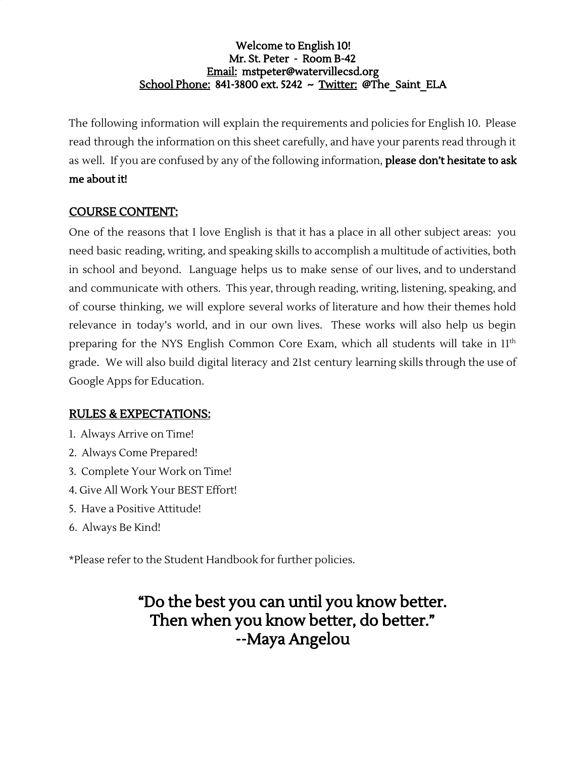#### Welcome to English 10! Mr. St. Peter - Room B-42 Email: mstpeter@watervillecsd.org School Phone: 841-3800 ext. 5242 ~ Twitter: @The Saint ELA

The following information will explain the requirements and policies for English 10. Please read through the information on this sheet carefully, and have your parents read through it as well. If you are confused by any of the following information, please don't hesitate to ask me about it!

### COURSE CONTENT:

One of the reasons that I love English is that it has a place in all other subject areas: you need basic reading, writing, and speaking skills to accomplish a multitude of activities, both in school and beyond. Language helps us to make sense of our lives, and to understand and communicate with others. This year, through reading, writing, listening, speaking, and of course thinking, we will explore several works of literature and how their themes hold relevance in today's world, and in our own lives. These works will also help us begin preparing for the NYS English Common Core Exam, which all students will take in  $11^{\rm th}$ grade. We will also build digital literacy and 21st century learning skills through the use of Google Apps for Education.

#### RULES & EXPECTATIONS:

- 1. Always Arrive on Time!
- 2. Always Come Prepared!
- 3. Complete Your Work on Time!
- 4. Give All Work Your BEST Effort!
- 5. Have a Positive Attitude!
- 6. Always Be Kind!

\*Please refer to the Student Handbook for further policies.

# "Do the best you can until you know better. Then when you know better, do better." --Maya Angelou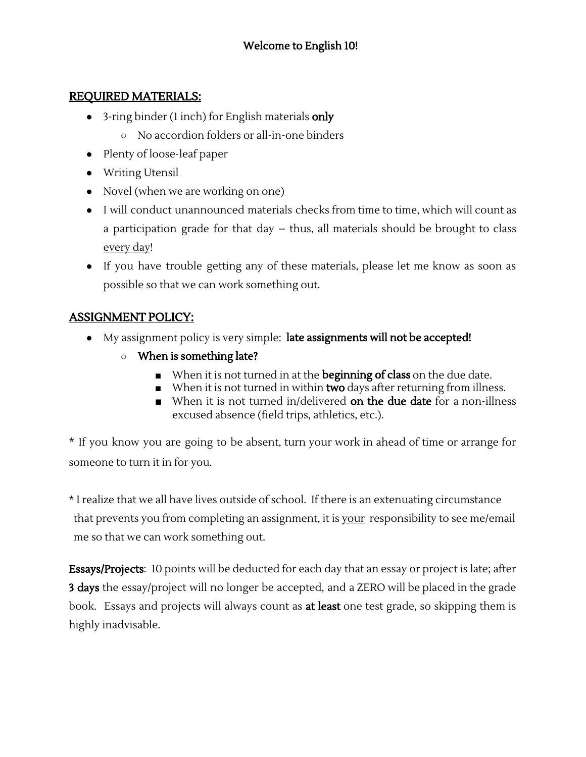#### REQUIRED MATERIALS:

- 3-ring binder (1 inch) for English materials only
	- No accordion folders or all-in-one binders
- Plenty of loose-leaf paper
- Writing Utensil
- Novel (when we are working on one)
- I will conduct unannounced materials checks from time to time, which will count as a participation grade for that day – thus, all materials should be brought to class every day!
- If you have trouble getting any of these materials, please let me know as soon as possible so that we can work something out.

## ASSIGNMENT POLICY:

- My assignment policy is very simple: late assignments will not be accepted!
	- When is something late?
		- When it is not turned in at the **beginning of class** on the due date.
		- When it is not turned in within **two** days after returning from illness.
		- When it is not turned in/delivered **on the due date** for a non-illness excused absence (field trips, athletics, etc.).

\* If you know you are going to be absent, turn your work in ahead of time or arrange for someone to turn it in for you.

\* I realize that we all have lives outside of school. If there is an extenuating circumstance that prevents you from completing an assignment, it is your responsibility to see me/email me so that we can work something out.

Essays/Projects: 10 points will be deducted for each day that an essay or project is late; after **3 days** the essay/project will no longer be accepted, and a ZERO will be placed in the grade book. Essays and projects will always count as at least one test grade, so skipping them is highly inadvisable.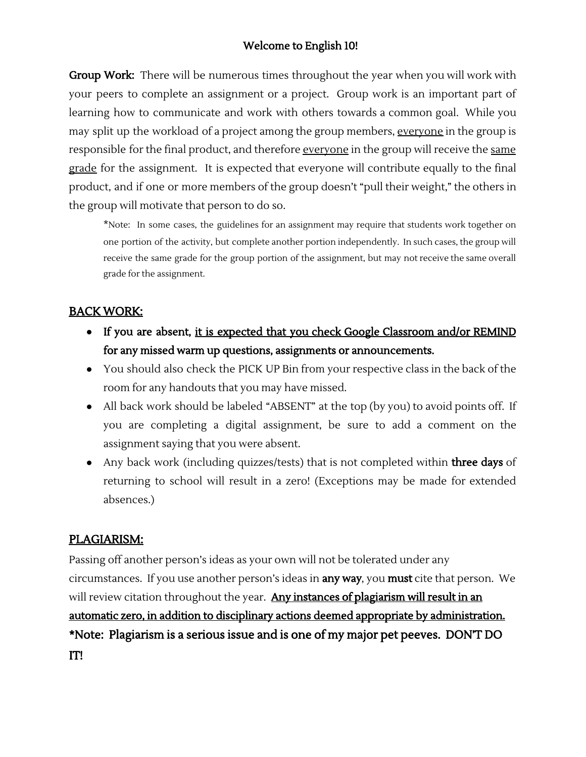#### Welcome to English 10!

Group Work: There will be numerous times throughout the year when you will work with your peers to complete an assignment or a project. Group work is an important part of learning how to communicate and work with others towards a common goal. While you may split up the workload of a project among the group members, everyone in the group is responsible for the final product, and therefore everyone in the group will receive the same grade for the assignment. It is expected that everyone will contribute equally to the final product, and if one or more members of the group doesn't "pull their weight," the others in the group will motivate that person to do so.

\*Note: In some cases, the guidelines for an assignment may require that students work together on one portion of the activity, but complete another portion independently. In such cases, the group will receive the same grade for the group portion of the assignment, but may not receive the same overall grade for the assignment.

#### BACK WORK:

- **●** If you are absent, it is expected that you check Google Classroom and/or REMIND for any missed warm up questions, assignments or announcements.
- You should also check the PICK UP Bin from your respective class in the back of the room for any handouts that you may have missed.
- All back work should be labeled "ABSENT" at the top (by you) to avoid points off. If you are completing a digital assignment, be sure to add a comment on the assignment saying that you were absent.
- Any back work (including quizzes/tests) that is not completed within **three days** of returning to school will result in a zero! (Exceptions may be made for extended absences.)

#### PLAGIARISM:

Passing off another person's ideas as your own will not be tolerated under any circumstances. If you use another person's ideas in any way, you must cite that person. We will review citation throughout the year. Any instances of plagiarism will result in an automatic zero, in addition to disciplinary actions deemed appropriate by administration. \*Note: Plagiarism is a serious issue and is one of my major pet peeves. DON'T DO IT!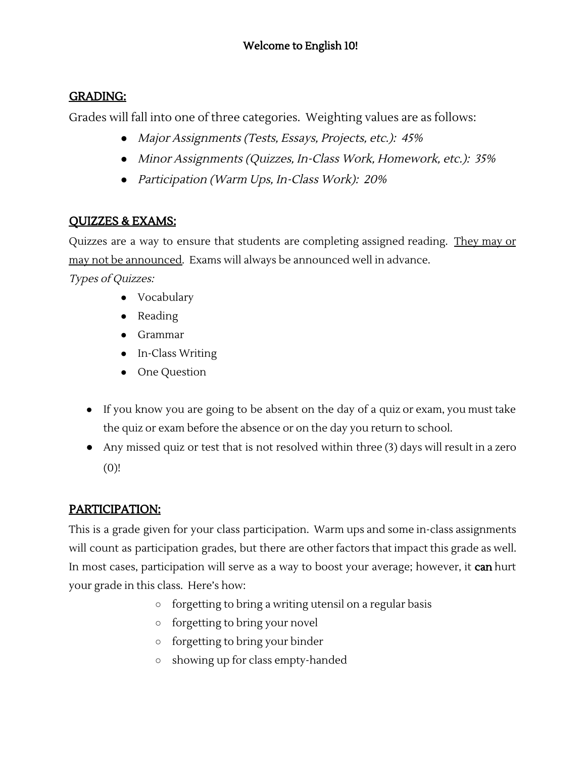#### GRADING:

Grades will fall into one of three categories. Weighting values are as follows:

- *●* Major Assignments (Tests, Essays, Projects, etc.): 45%
- *●* Minor Assignments (Quizzes, In-Class Work, Homework, etc.): 35%
- *●* Participation (Warm Ups, In-Class Work): 20%

## QUIZZES & EXAMS:

Quizzes are a way to ensure that students are completing assigned reading. They may or may not be announced. Exams will always be announced well in advance.

Types of Quizzes:

- Vocabulary
- Reading
- Grammar
- In-Class Writing
- One Question
- If you know you are going to be absent on the day of a quiz or exam, you must take the quiz or exam before the absence or on the day you return to school.
- Any missed quiz or test that is not resolved within three (3) days will result in a zero (0)!

## PARTICIPATION:

This is a grade given for your class participation. Warm ups and some in-class assignments will count as participation grades, but there are other factors that impact this grade as well. In most cases, participation will serve as a way to boost your average; however, it can hurt your grade in this class. Here's how:

- forgetting to bring a writing utensil on a regular basis
- forgetting to bring your novel
- forgetting to bring your binder
- showing up for class empty-handed